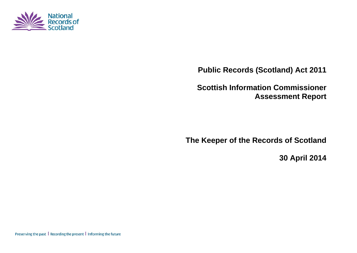

**Public Records (Scotland) Act 2011** 

**Scottish Information Commissioner Assessment Report** 

**The Keeper of the Records of Scotland** 

**30 April 2014** 

Preserving the past | Recording the present | Informing the future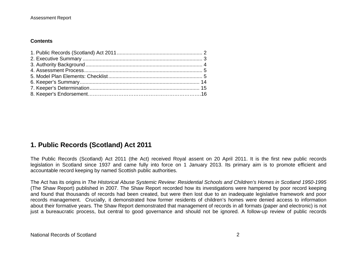## **Contents**

# **1. Public Records (Scotland) Act 2011**

The Public Records (Scotland) Act 2011 (the Act) received Royal assent on 20 April 2011. It is the first new public records legislation in Scotland since 1937 and came fully into force on 1 January 2013. Its primary aim is to promote efficient and accountable record keeping by named Scottish public authorities.

The Act has its origins in *The Historical Abuse Systemic Review: Residential Schools and Children's Homes in Scotland 1950-1995* (The Shaw Report) published in 2007. The Shaw Report recorded how its investigations were hampered by poor record keeping and found that thousands of records had been created, but were then lost due to an inadequate legislative framework and poor records management. Crucially, it demonstrated how former residents of children's homes were denied access to information about their formative years. The Shaw Report demonstrated that management of records in all formats (paper and electronic) is not just a bureaucratic process, but central to good governance and should not be ignored. A follow-up review of public records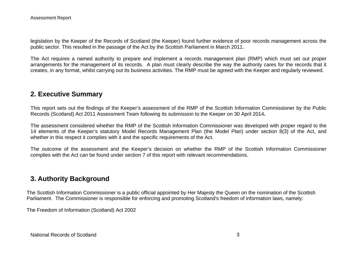legislation by the Keeper of the Records of Scotland (the Keeper) found further evidence of poor records management across the public sector. This resulted in the passage of the Act by the Scottish Parliament in March 2011.

The Act requires a named authority to prepare and implement a records management plan (RMP) which must set out proper arrangements for the management of its records. A plan must clearly describe the way the authority cares for the records that it creates, in any format, whilst carrying out its business activities. The RMP must be agreed with the Keeper and regularly reviewed.

## **2. Executive Summary**

This report sets out the findings of the Keeper's assessment of the RMP of the Scottish Information Commissioner by the Public Records (Scotland) Act 2011 Assessment Team following its submission to the Keeper on 30 April 2014*.*

The assessment considered whether the RMP of the Scottish Information Commissioner was developed with proper regard to the 14 elements of the Keeper's statutory Model Records Management Plan (the Model Plan) under section 8(3) of the Act, and whether in this respect it complies with it and the specific requirements of the Act.

The outcome of the assessment and the Keeper's decision on whether the RMP of the Scottish Information Commissioner complies with the Act can be found under section 7 of this report with relevant recommendations.

# **3. Authority Background**

The Scottish Information Commissioner is a public official appointed by Her Majesty the Queen on the nomination of the Scottish Parliament. The Commissioner is responsible for enforcing and promoting Scotland's freedom of information laws, namely:

The Freedom of Information (Scotland) Act 2002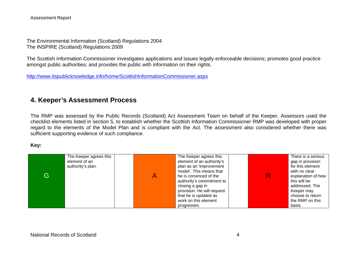Assessment Report

The Environmental Information (Scotland) Regulations 2004 The INSPIRE (Scotland) Regulations 2009

The Scottish Information Commissioner investigates applications and issues legally enforceable decisions; promotes good practice amongst public authorities; and provides the public with information on their rights.

http://www.itspublicknowledge.info/home/ScottishInformationCommissioner.aspx

## **4. Keeper's Assessment Process**

The RMP was assessed by the Public Records (Scotland) Act Assessment Team on behalf of the Keeper. Assessors used the checklist elements listed in section 5, to establish whether the Scottish Information Commissioner RMP was developed with proper regard to the elements of the Model Plan and is compliant with the Act. The assessment also considered whether there was sufficient supporting evidence of such compliance.

### **Key:**

| G | The Keeper agrees this<br>element of an<br>authority's plan. | The Keeper agrees this<br>element of an authority's<br>plan as an 'improvement<br>model'. This means that<br>he is convinced of the<br>authority's commitment to<br>closing a gap in<br>provision. He will request | There is a serious<br>gap in provision<br>for this element<br>with no clear<br>explanation of how<br>this will be<br>addressed. The<br>Keeper may<br>choose to return |
|---|--------------------------------------------------------------|--------------------------------------------------------------------------------------------------------------------------------------------------------------------------------------------------------------------|-----------------------------------------------------------------------------------------------------------------------------------------------------------------------|
|   |                                                              | that he is updated as                                                                                                                                                                                              |                                                                                                                                                                       |
|   |                                                              | work on this element<br>progresses.                                                                                                                                                                                | the RMP on this<br>basis.                                                                                                                                             |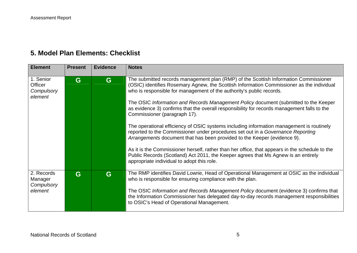# **5. Model Plan Elements: Checklist**

| <b>Element</b>                                       | <b>Present</b> | <b>Evidence</b> | <b>Notes</b>                                                                                                                                                                                                                                                                                                                                                                                                                                                                                  |
|------------------------------------------------------|----------------|-----------------|-----------------------------------------------------------------------------------------------------------------------------------------------------------------------------------------------------------------------------------------------------------------------------------------------------------------------------------------------------------------------------------------------------------------------------------------------------------------------------------------------|
| 1. Senior<br><b>Officer</b><br>Compulsory<br>element | G              | G               | The submitted records management plan (RMP) of the Scottish Information Commissioner<br>(OSIC) identifies Rosemary Agnew, the Scottish Information Commissioner as the individual<br>who is responsible for management of the authority's public records.<br>The OSIC Information and Records Management Policy document (submitted to the Keeper<br>as evidence 3) confirms that the overall responsibility for records management falls to the<br>Commissioner (paragraph 17).              |
|                                                      |                |                 | The operational efficiency of OSIC systems including information management is routinely<br>reported to the Commissioner under procedures set out in a Governance Reporting<br>Arrangements document that has been provided to the Keeper (evidence 9).<br>As it is the Commissioner herself, rather than her office, that appears in the schedule to the<br>Public Records (Scotland) Act 2011, the Keeper agrees that Ms Agnew is an entirely<br>appropriate individual to adopt this role. |
| 2. Records<br>Manager<br>Compulsory<br>element       | G              | G               | The RMP identifies David Lowrie, Head of Operational Management at OSIC as the individual<br>who is responsible for ensuring compliance with the plan.<br>The OSIC Information and Records Management Policy document (evidence 3) confirms that<br>the Information Commissioner has delegated day-to-day records management responsibilities<br>to OSIC's Head of Operational Management.                                                                                                    |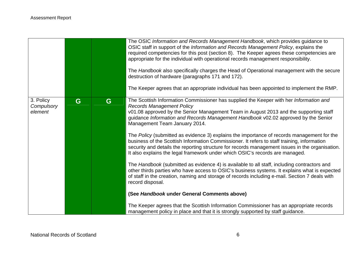|                                    |   |   | The OSIC Information and Records Management Handbook, which provides guidance to<br>OSIC staff in support of the Information and Records Management Policy, explains the<br>required competencies for this post (section 8). The Keeper agrees these competencies are<br>appropriate for the individual with operational records management responsibility.<br>The Handbook also specifically charges the Head of Operational management with the secure<br>destruction of hardware (paragraphs 171 and 172).<br>The Keeper agrees that an appropriate individual has been appointed to implement the RMP.                                                                                                                                                                                                                                                                                                                                                                                                                                                                                      |
|------------------------------------|---|---|-------------------------------------------------------------------------------------------------------------------------------------------------------------------------------------------------------------------------------------------------------------------------------------------------------------------------------------------------------------------------------------------------------------------------------------------------------------------------------------------------------------------------------------------------------------------------------------------------------------------------------------------------------------------------------------------------------------------------------------------------------------------------------------------------------------------------------------------------------------------------------------------------------------------------------------------------------------------------------------------------------------------------------------------------------------------------------------------------|
| 3. Policy<br>Compulsory<br>element | G | G | The Scottish Information Commissioner has supplied the Keeper with her Information and<br><b>Records Management Policy</b><br>v01.08 approved by the Senior Management Team in August 2013 and the supporting staff<br>guidance Information and Records Management Handbook v02.02 approved by the Senior<br>Management Team January 2014.<br>The Policy (submitted as evidence 3) explains the importance of records management for the<br>business of the Scottish Information Commissioner. It refers to staff training, information<br>security and details the reporting structure for records management issues in the organisation.<br>It also explains the legal framework under which OSIC's records are managed.<br>The Handbook (submitted as evidence 4) is available to all staff, including contractors and<br>other thirds parties who have access to OSIC's business systems. It explains what is expected<br>of staff in the creation, naming and storage of records including e-mail. Section 7 deals with<br>record disposal.<br>(See Handbook under General Comments above) |
|                                    |   |   | The Keeper agrees that the Scottish Information Commissioner has an appropriate records<br>management policy in place and that it is strongly supported by staff guidance.                                                                                                                                                                                                                                                                                                                                                                                                                                                                                                                                                                                                                                                                                                                                                                                                                                                                                                                      |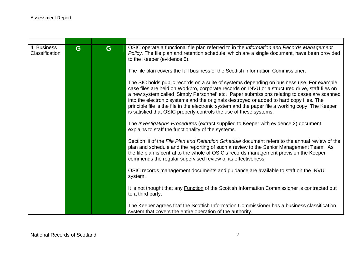| 4. Business<br>Classification | G | G | OSIC operate a functional file plan referred to in the Information and Records Management<br>Policy. The file plan and retention schedule, which are a single document, have been provided<br>to the Keeper (evidence 5).                                                                                                                                                                                                                                                                                                                                          |
|-------------------------------|---|---|--------------------------------------------------------------------------------------------------------------------------------------------------------------------------------------------------------------------------------------------------------------------------------------------------------------------------------------------------------------------------------------------------------------------------------------------------------------------------------------------------------------------------------------------------------------------|
|                               |   |   | The file plan covers the full business of the Scottish Information Commissioner.                                                                                                                                                                                                                                                                                                                                                                                                                                                                                   |
|                               |   |   | The SIC holds public records on a suite of systems depending on business use. For example<br>case files are held on Workpro, corporate records on INVU or a structured drive, staff files on<br>a new system called 'Simply Personnel' etc. Paper submissions relating to cases are scanned<br>into the electronic systems and the originals destroyed or added to hard copy files. The<br>principle file is the file in the electronic system and the paper file a working copy. The Keeper<br>is satisfied that OSIC properly controls the use of these systems. |
|                               |   |   | The Investigations Procedures (extract supplied to Keeper with evidence 2) document<br>explains to staff the functionality of the systems.                                                                                                                                                                                                                                                                                                                                                                                                                         |
|                               |   |   | Section iii of the File Plan and Retention Schedule document refers to the annual review of the<br>plan and schedule and the reporting of such a review to the Senior Management Team. As<br>the file plan is central to the whole of OSIC's records management provision the Keeper<br>commends the regular supervised review of its effectiveness.                                                                                                                                                                                                               |
|                               |   |   | OSIC records management documents and guidance are available to staff on the INVU<br>system.                                                                                                                                                                                                                                                                                                                                                                                                                                                                       |
|                               |   |   | It is not thought that any Function of the Scottish Information Commissioner is contracted out<br>to a third party.                                                                                                                                                                                                                                                                                                                                                                                                                                                |
|                               |   |   | The Keeper agrees that the Scottish Information Commissioner has a business classification<br>system that covers the entire operation of the authority.                                                                                                                                                                                                                                                                                                                                                                                                            |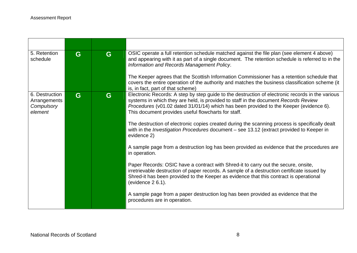| 5. Retention<br>schedule                                | G | G | OSIC operate a full retention schedule matched against the file plan (see element 4 above)<br>and appearing with it as part of a single document. The retention schedule is referred to in the<br>Information and Records Management Policy.<br>The Keeper agrees that the Scottish Information Commissioner has a retention schedule that<br>covers the entire operation of the authority and matches the business classification scheme (it<br>is, in fact, part of that scheme)                                                                                                                                                                                                                                                                                                                                                                                                                                                                                                                                                                                                                     |
|---------------------------------------------------------|---|---|--------------------------------------------------------------------------------------------------------------------------------------------------------------------------------------------------------------------------------------------------------------------------------------------------------------------------------------------------------------------------------------------------------------------------------------------------------------------------------------------------------------------------------------------------------------------------------------------------------------------------------------------------------------------------------------------------------------------------------------------------------------------------------------------------------------------------------------------------------------------------------------------------------------------------------------------------------------------------------------------------------------------------------------------------------------------------------------------------------|
| 6. Destruction<br>Arrangements<br>Compulsory<br>element | G | G | Electronic Records: A step by step guide to the destruction of electronic records in the various<br>systems in which they are held, is provided to staff in the document Records Review<br>Procedures (v01.02 dated 31/01/14) which has been provided to the Keeper (evidence 6).<br>This document provides useful flowcharts for staff.<br>The destruction of electronic copies created during the scanning process is specifically dealt<br>with in the <i>Investigation Procedures</i> document - see 13.12 (extract provided to Keeper in<br>evidence 2)<br>A sample page from a destruction log has been provided as evidence that the procedures are<br>in operation.<br>Paper Records: OSIC have a contract with Shred-it to carry out the secure, onsite,<br>irretrievable destruction of paper records. A sample of a destruction certificate issued by<br>Shred-it has been provided to the Keeper as evidence that this contract is operational<br>(evidence $26.1$ ).<br>A sample page from a paper destruction log has been provided as evidence that the<br>procedures are in operation. |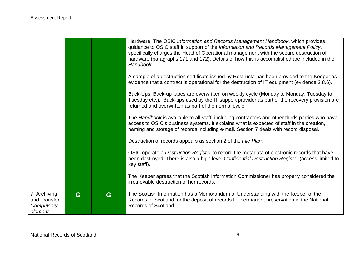|                                                       |   |   | Hardware: The OSIC Information and Records Management Handbook, which provides<br>guidance to OSIC staff in support of the Information and Records Management Policy,<br>specifically charges the Head of Operational management with the secure destruction of<br>hardware (paragraphs 171 and 172). Details of how this is accomplished are included in the<br>Handbook. |
|-------------------------------------------------------|---|---|----------------------------------------------------------------------------------------------------------------------------------------------------------------------------------------------------------------------------------------------------------------------------------------------------------------------------------------------------------------------------|
|                                                       |   |   | A sample of a destruction certificate issued by Restructa has been provided to the Keeper as<br>evidence that a contract is operational for the destruction of IT equipment (evidence 2 8.6).                                                                                                                                                                              |
|                                                       |   |   | Back-Ups: Back-up tapes are overwritten on weekly cycle (Monday to Monday, Tuesday to<br>Tuesday etc.). Back-ups used by the IT support provider as part of the recovery provision are<br>returned and overwritten as part of the normal cycle.                                                                                                                            |
|                                                       |   |   | The Handbook is available to all staff, including contractors and other thirds parties who have<br>access to OSIC's business systems. It explains what is expected of staff in the creation,<br>naming and storage of records including e-mail. Section 7 deals with record disposal.                                                                                      |
|                                                       |   |   | Destruction of records appears as section 2 of the File Plan.                                                                                                                                                                                                                                                                                                              |
|                                                       |   |   | OSIC operate a Destruction Register to record the metadata of electronic records that have<br>been destroyed. There is also a high level Confidential Destruction Register (access limited to<br>key staff).                                                                                                                                                               |
|                                                       |   |   | The Keeper agrees that the Scottish Information Commissioner has properly considered the<br>irretrievable destruction of her records.                                                                                                                                                                                                                                      |
| 7. Archiving<br>and Transfer<br>Compulsory<br>element | G | G | The Scottish Information has a Memorandum of Understanding with the Keeper of the<br>Records of Scotland for the deposit of records for permanent preservation in the National<br>Records of Scotland.                                                                                                                                                                     |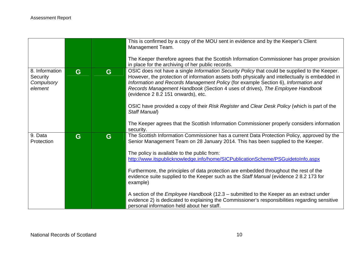|                                                     |   |   | This is confirmed by a copy of the MOU sent in evidence and by the Keeper's Client<br>Management Team.                                                                                                                                                                                                                                                                                                                                                                                                        |
|-----------------------------------------------------|---|---|---------------------------------------------------------------------------------------------------------------------------------------------------------------------------------------------------------------------------------------------------------------------------------------------------------------------------------------------------------------------------------------------------------------------------------------------------------------------------------------------------------------|
|                                                     |   |   | The Keeper therefore agrees that the Scottish Information Commissioner has proper provision<br>in place for the archiving of her public records.                                                                                                                                                                                                                                                                                                                                                              |
| 8. Information<br>Security<br>Compulsory<br>element | G | G | OSIC does not have a single Information Security Policy that could be supplied to the Keeper.<br>However, the protection of information assets both physically and intellectually is embedded in<br>Information and Records Management Policy (for example Section 6), Information and<br>Records Management Handbook (Section 4 uses of drives), The Employee Handbook<br>(evidence 2 8.2 151 onwards), etc.<br>OSIC have provided a copy of their Risk Register and Clear Desk Policy (which is part of the |
|                                                     |   |   | Staff Manual)<br>The Keeper agrees that the Scottish Information Commissioner properly considers information<br>security.                                                                                                                                                                                                                                                                                                                                                                                     |
| 9. Data<br>Protection                               | G | G | The Scottish Information Commissioner has a current Data Protection Policy, approved by the<br>Senior Management Team on 28 January 2014. This has been supplied to the Keeper.<br>The policy is available to the public from:<br>http://www.itspublicknowledge.info/home/SICPublicationScheme/PSGuidetoInfo.aspx                                                                                                                                                                                             |
|                                                     |   |   | Furthermore, the principles of data protection are embedded throughout the rest of the<br>evidence suite supplied to the Keeper such as the Staff Manual (evidence 2 8.2 173 for<br>example)                                                                                                                                                                                                                                                                                                                  |
|                                                     |   |   | A section of the <i>Employee Handbook</i> (12.3 – submitted to the Keeper as an extract under<br>evidence 2) is dedicated to explaining the Commissioner's responsibilities regarding sensitive<br>personal information held about her staff.                                                                                                                                                                                                                                                                 |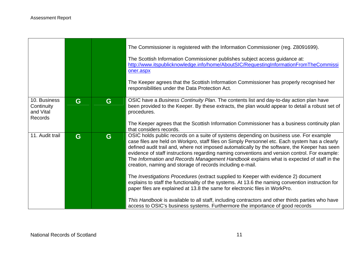|                                                           |   |   | The Commissioner is registered with the Information Commissioner (reg. Z8091699).<br>The Scottish Information Commissioner publishes subject access guidance at:<br>http://www.itspublicknowledge.info/home/AboutSIC/RequestingInformationFromTheCommissi<br>oner.aspx<br>The Keeper agrees that the Scottish Information Commissioner has properly recognised her<br>responsibilities under the Data Protection Act.                                                                                                                                                                                                                                                                                                                                                                                                                                                                                                                                                                                                                           |
|-----------------------------------------------------------|---|---|-------------------------------------------------------------------------------------------------------------------------------------------------------------------------------------------------------------------------------------------------------------------------------------------------------------------------------------------------------------------------------------------------------------------------------------------------------------------------------------------------------------------------------------------------------------------------------------------------------------------------------------------------------------------------------------------------------------------------------------------------------------------------------------------------------------------------------------------------------------------------------------------------------------------------------------------------------------------------------------------------------------------------------------------------|
| 10. Business<br>Continuity<br>and Vital<br><b>Records</b> | G | G | OSIC have a Business Continuity Plan. The contents list and day-to-day action plan have<br>been provided to the Keeper. By these extracts, the plan would appear to detail a robust set of<br>procedures.<br>The Keeper agrees that the Scottish Information Commissioner has a business continuity plan                                                                                                                                                                                                                                                                                                                                                                                                                                                                                                                                                                                                                                                                                                                                        |
| 11. Audit trail                                           | G | G | that considers records.<br>OSIC holds public records on a suite of systems depending on business use. For example<br>case files are held on Workpro, staff files on Simply Personnel etc. Each system has a clearly<br>defined audit trail and, where not imposed automatically by the software, the Keeper has seen<br>evidence of staff instructions regarding naming conventions and version control. For example:<br>The Information and Records Management Handbook explains what is expected of staff in the<br>creation, naming and storage of records including e-mail.<br>The Investigations Procedures (extract supplied to Keeper with evidence 2) document<br>explains to staff the functionality of the systems. At 13.6 the naming convention instruction for<br>paper files are explained at 13.8 the same for electronic files in WorkPro.<br>This Handbook is available to all staff, including contractors and other thirds parties who have<br>access to OSIC's business systems. Furthermore the importance of good records |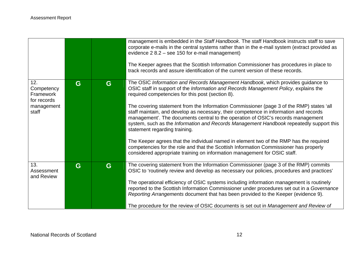|                                               |   |   | management is embedded in the Staff Handbook. The staff Handbook instructs staff to save<br>corporate e-mails in the central systems rather than in the e-mail system (extract provided as<br>evidence 2 8.2 - see 150 for e-mail management)<br>The Keeper agrees that the Scottish Information Commissioner has procedures in place to<br>track records and assure identification of the current version of these records. |
|-----------------------------------------------|---|---|------------------------------------------------------------------------------------------------------------------------------------------------------------------------------------------------------------------------------------------------------------------------------------------------------------------------------------------------------------------------------------------------------------------------------|
| 12.<br>Competency<br>Framework<br>for records | G | G | The OSIC Information and Records Management Handbook, which provides guidance to<br>OSIC staff in support of the Information and Records Management Policy, explains the<br>required competencies for this post (section 8).                                                                                                                                                                                                 |
| management<br>staff                           |   |   | The covering statement from the Information Commissioner (page 3 of the RMP) states 'all<br>staff maintain, and develop as necessary, their competence in information and records<br>management'. The documents central to the operation of OSIC's records management<br>system, such as the Information and Records Management Handbook repeatedly support this<br>statement regarding training.                            |
|                                               |   |   | The Keeper agrees that the individual named in element two of the RMP has the required<br>competencies for the role and that the Scottish Information Commissioner has properly<br>considered appropriate training on information management for OSIC staff.                                                                                                                                                                 |
| 13.<br>Assessment<br>and Review               | G | G | The covering statement from the Information Commissioner (page 3 of the RMP) commits<br>OSIC to 'routinely review and develop as necessary our policies, procedures and practices'                                                                                                                                                                                                                                           |
|                                               |   |   | The operational efficiency of OSIC systems including information management is routinely<br>reported to the Scottish Information Commissioner under procedures set out in a Governance<br>Reporting Arrangements document that has been provided to the Keeper (evidence 9).                                                                                                                                                 |
|                                               |   |   | The procedure for the review of OSIC documents is set out in Management and Review of                                                                                                                                                                                                                                                                                                                                        |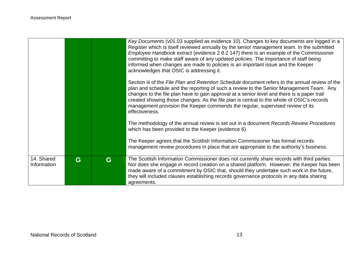|                           |   |   | Key Documents (v01.03 supplied as evidence 10). Changes to key documents are logged in a<br>Register which is itself reviewed annually by the senior management team. In the submitted<br>Employee Handbook extract (evidence 2 8.2 147) there is an example of the Commissioner<br>committing to make staff aware of any updated policies. The importance of staff being<br>informed when changes are made to policies is an important issue and the Keeper<br>acknowledges that OSIC is addressing it. |
|---------------------------|---|---|----------------------------------------------------------------------------------------------------------------------------------------------------------------------------------------------------------------------------------------------------------------------------------------------------------------------------------------------------------------------------------------------------------------------------------------------------------------------------------------------------------|
|                           |   |   | Section iii of the File Plan and Retention Schedule document refers to the annual review of the<br>plan and schedule and the reporting of such a review to the Senior Management Team. Any<br>changes to the file plan have to gain approval at a senior level and there is a paper trail<br>created showing those changes. As the file plan is central to the whole of OSIC's records<br>management provision the Keeper commends the regular, supervised review of its<br>effectiveness.               |
|                           |   |   | The methodology of the annual review is set out in a document Records Review Procedures<br>which has been provided to the Keeper (evidence 6).                                                                                                                                                                                                                                                                                                                                                           |
|                           |   |   | The Keeper agrees that the Scottish Information Commissioner has formal records<br>management review procedures in place that are appropriate to the authority's business.                                                                                                                                                                                                                                                                                                                               |
| 14. Shared<br>Information | G | G | The Scottish Information Commissioner does not currently share records with third parties.<br>Nor does she engage in record creation on a shared platform. However, the Keeper has been<br>made aware of a commitment by OSIC that, should they undertake such work in the future,<br>they will included clauses establishing records governance protocols in any data sharing<br>agreements.                                                                                                            |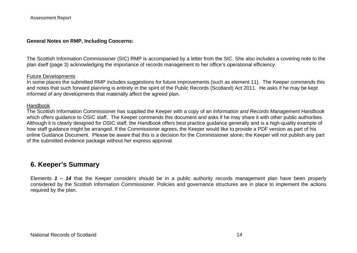## **General Notes on RMP, Including Concerns:**

The Scottish Information Commissioner (SIC) RMP is accompanied by a letter from the SIC. She also includes a covering note to the plan itself (page 3) acknowledging the importance of records management to her office's operational efficiency.

#### Future Developments

In some places the submitted RMP includes suggestions for future improvements (such as element 11). The Keeper commends this and notes that such forward planning is entirely in the spirit of the Public Records (Scotland) Act 2011. He asks if he may be kept informed of any developments that materially affect the agreed plan.

### Handbook

The Scottish Information Commissioner has supplied the Keeper with a copy of an *Information and Records Management Handbook* which offers guidance to OSIC staff. The Keeper commends this document and asks if he may share it with other public authorities. Although it is clearly designed for OSIC staff, the *Handbook* offers best practice guidance generally and is a high-quality example of how staff guidance might be arranged. If the Commissioner agrees, the Keeper would like to provide a PDF version as part of his online Guidance Document. Please be aware that this is a decision for the Commissioner alone; the Keeper will not publish any part of the submitted evidence package without her express approval.

# **6. Keeper's Summary**

Elements *1 – 14* that the Keeper considers should be in a public authority records management plan have been properly considered by the Scottish Information Commissioner. Policies and governance structures are in place to implement the actions required by the plan.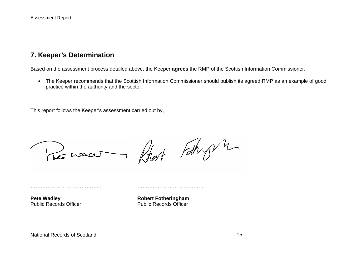## **7. Keeper's Determination**

Based on the assessment process detailed above, the Keeper **agrees** the RMP of the Scottish Information Commissioner.

 The Keeper recommends that the Scottish Information Commissioner should publish its agreed RMP as an example of good practice within the authority and the sector.

This report follows the Keeper's assessment carried out by,

Robert Fathry m

…………………………………… …………………………………

Pete Wadley **Robert Fotheringham** Public Records Officer **Public Records Officer**